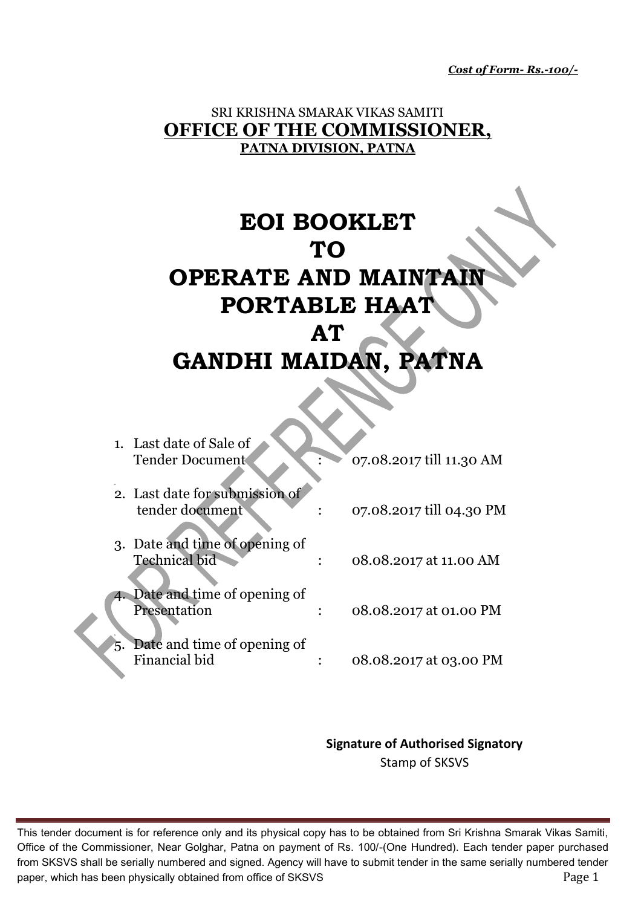*Cost of Form- Rs.-100/-*

### SRI KRISHNA SMARAK VIKAS SAMITI **OFFICE OF THE COMMISSIONER, PATNA DIVISION, PATNA**

# **EOI BOOKLET TO OPERATE AND MAINTAIN PORTABLE HAAT AT GANDHI MAIDAN, PATNA**

|    | 1. Last date of Sale of<br><b>Tender Document</b>      | 07.08.2017 till 11.30 AM |
|----|--------------------------------------------------------|--------------------------|
|    | 2. Last date for submission of<br>tender document      | 07.08.2017 till 04.30 PM |
|    | 3. Date and time of opening of<br><b>Technical bid</b> | 08.08.2017 at 11.00 AM   |
|    | Date and time of opening of<br>Presentation            | 08.08.2017 at 01.00 PM   |
| ъ. | Date and time of opening of<br>Financial bid           | 08.08.2017 at 03.00 PM   |

**Signature of Authorised Signatory** Stamp of SKSVS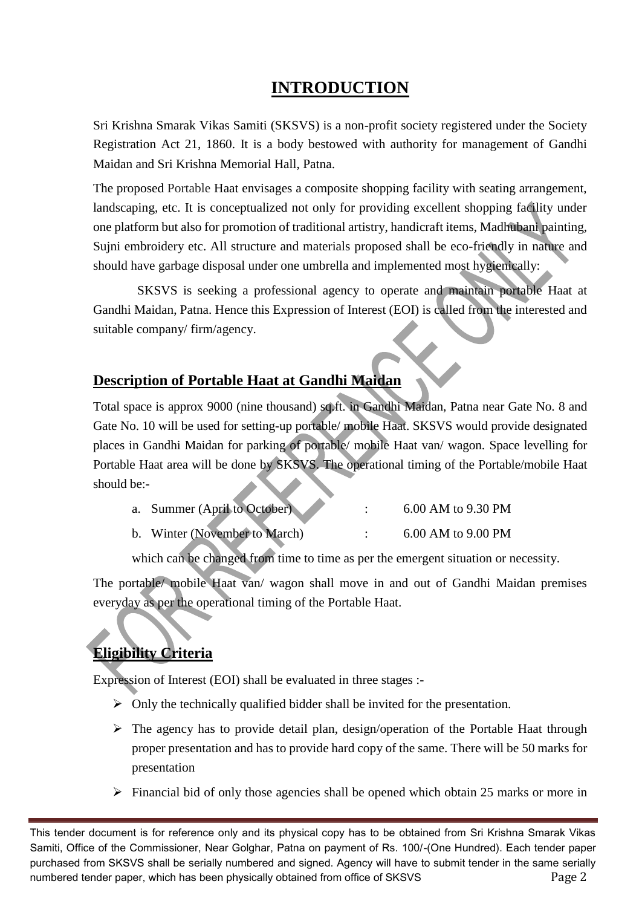# **INTRODUCTION**

Sri Krishna Smarak Vikas Samiti (SKSVS) is a non-profit society registered under the Society Registration Act 21, 1860. It is a body bestowed with authority for management of Gandhi Maidan and Sri Krishna Memorial Hall, Patna.

The proposed Portable Haat envisages a composite shopping facility with seating arrangement, landscaping, etc. It is conceptualized not only for providing excellent shopping facility under one platform but also for promotion of traditional artistry, handicraft items, Madhubani painting, Sujni embroidery etc. All structure and materials proposed shall be eco-friendly in nature and should have garbage disposal under one umbrella and implemented most hygienically:

SKSVS is seeking a professional agency to operate and maintain portable Haat at Gandhi Maidan, Patna. Hence this Expression of Interest (EOI) is called from the interested and suitable company/ firm/agency.

## **Description of Portable Haat at Gandhi Maidan**

Total space is approx 9000 (nine thousand) sq.ft. in Gandhi Maidan, Patna near Gate No. 8 and Gate No. 10 will be used for setting-up portable/ mobile Haat. SKSVS would provide designated places in Gandhi Maidan for parking of portable/ mobile Haat van/ wagon. Space levelling for Portable Haat area will be done by SKSVS. The operational timing of the Portable/mobile Haat should be:-

| a. Summer (April to October) |  | 6.00 AM to 9.30 PM |
|------------------------------|--|--------------------|
|------------------------------|--|--------------------|

b. Winter (November to March) : 6.00 AM to 9.00 PM

which can be changed from time to time as per the emergent situation or necessity.

The portable/ mobile Haat van/ wagon shall move in and out of Gandhi Maidan premises everyday as per the operational timing of the Portable Haat.

# **Eligibility Criteria**

Expression of Interest (EOI) shall be evaluated in three stages :-

- $\triangleright$  Only the technically qualified bidder shall be invited for the presentation.
- $\triangleright$  The agency has to provide detail plan, design/operation of the Portable Haat through proper presentation and has to provide hard copy of the same. There will be 50 marks for presentation
- $\triangleright$  Financial bid of only those agencies shall be opened which obtain 25 marks or more in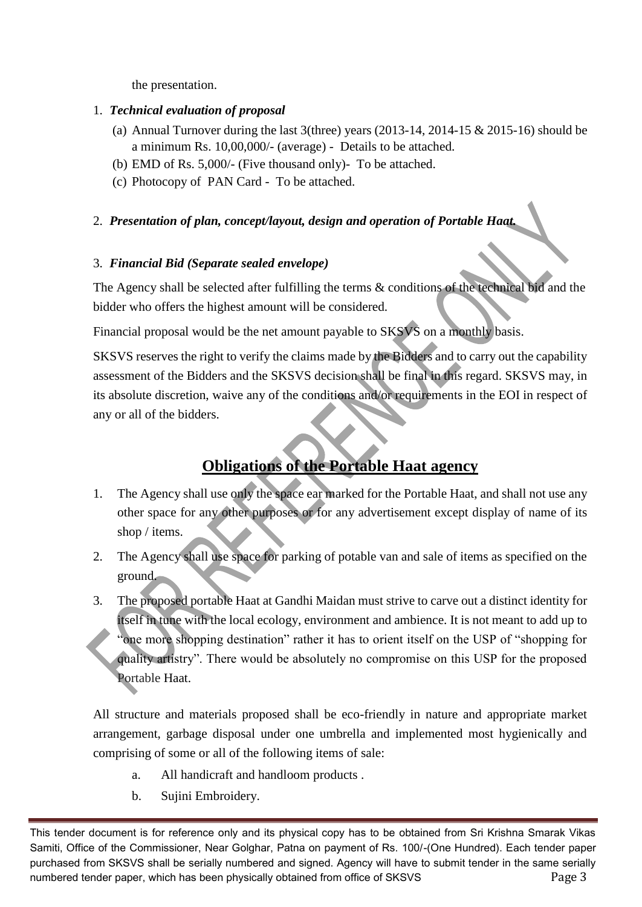the presentation.

#### 1. *Technical evaluation of proposal*

- (a) Annual Turnover during the last 3(three) years  $(2013-14, 2014-15 \& 2015-16)$  should be a minimum Rs. 10,00,000/- (average) - Details to be attached.
- (b) EMD of Rs. 5,000/- (Five thousand only)- To be attached.
- (c) Photocopy of PAN Card To be attached.

#### 2. *Presentation of plan, concept/layout, design and operation of Portable Haat.*

#### 3. *Financial Bid (Separate sealed envelope)*

The Agency shall be selected after fulfilling the terms & conditions of the technical bid and the bidder who offers the highest amount will be considered.

Financial proposal would be the net amount payable to SKSVS on a monthly basis.

SKSVS reserves the right to verify the claims made by the Bidders and to carry out the capability assessment of the Bidders and the SKSVS decision shall be final in this regard. SKSVS may, in its absolute discretion, waive any of the conditions and/or requirements in the EOI in respect of any or all of the bidders.

## **Obligations of the Portable Haat agency**

- 1. The Agency shall use only the space ear marked for the Portable Haat, and shall not use any other space for any other purposes or for any advertisement except display of name of its shop / items.
- 2. The Agency shall use space for parking of potable van and sale of items as specified on the ground.
- 3. The proposed portable Haat at Gandhi Maidan must strive to carve out a distinct identity for itself in tune with the local ecology, environment and ambience. It is not meant to add up to "one more shopping destination" rather it has to orient itself on the USP of "shopping for quality artistry". There would be absolutely no compromise on this USP for the proposed Portable Haat.

All structure and materials proposed shall be eco-friendly in nature and appropriate market arrangement, garbage disposal under one umbrella and implemented most hygienically and comprising of some or all of the following items of sale:

- a. All handicraft and handloom products .
- b. Sujini Embroidery.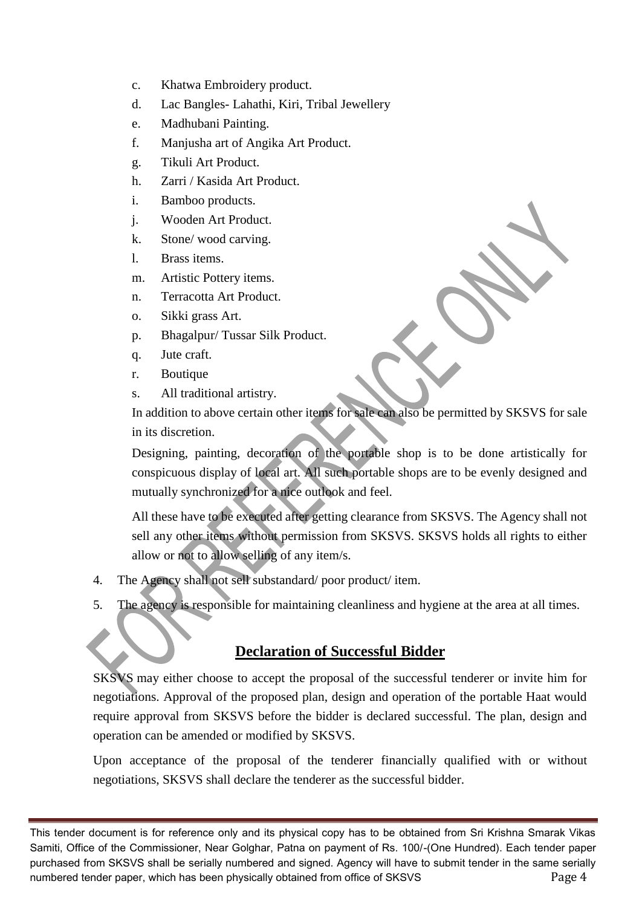- c. Khatwa Embroidery product.
- d. Lac Bangles- Lahathi, Kiri, Tribal Jewellery
- e. Madhubani Painting.
- f. Manjusha art of Angika Art Product.
- g. Tikuli Art Product.
- h. Zarri / Kasida Art Product.
- i. Bamboo products.
- j. Wooden Art Product.
- k. Stone/ wood carving.
- l. Brass items.
- m. Artistic Pottery items.
- n. Terracotta Art Product.
- o. Sikki grass Art.
- p. Bhagalpur/ Tussar Silk Product.
- q. Jute craft.
- r. Boutique
- s. All traditional artistry.

In addition to above certain other items for sale can also be permitted by SKSVS for sale in its discretion.

Designing, painting, decoration of the portable shop is to be done artistically for conspicuous display of local art. All such portable shops are to be evenly designed and mutually synchronized for a nice outlook and feel.

All these have to be executed after getting clearance from SKSVS. The Agency shall not sell any other items without permission from SKSVS. SKSVS holds all rights to either allow or not to allow selling of any item/s.

- 4. The Agency shall not sell substandard/ poor product/ item.
- 5. The agency is responsible for maintaining cleanliness and hygiene at the area at all times.

## **Declaration of Successful Bidder**

SKSVS may either choose to accept the proposal of the successful tenderer or invite him for negotiations. Approval of the proposed plan, design and operation of the portable Haat would require approval from SKSVS before the bidder is declared successful. The plan, design and operation can be amended or modified by SKSVS.

Upon acceptance of the proposal of the tenderer financially qualified with or without negotiations, SKSVS shall declare the tenderer as the successful bidder.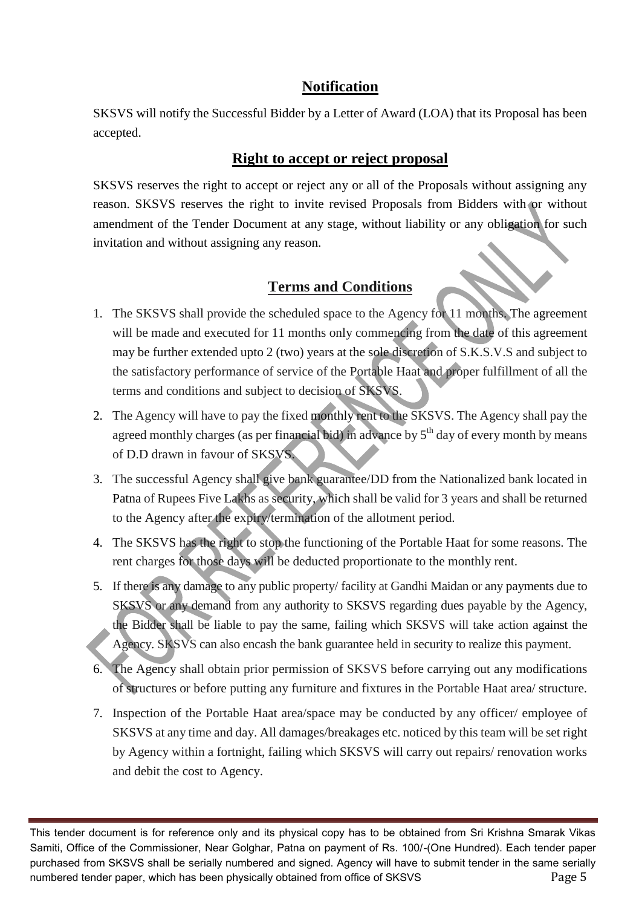## **Notification**

SKSVS will notify the Successful Bidder by a Letter of Award (LOA) that its Proposal has been accepted.

## **Right to accept or reject proposal**

SKSVS reserves the right to accept or reject any or all of the Proposals without assigning any reason. SKSVS reserves the right to invite revised Proposals from Bidders with or without amendment of the Tender Document at any stage, without liability or any obligation for such invitation and without assigning any reason.

## **Terms and Conditions**

- 1. The SKSVS shall provide the scheduled space to the Agency for 11 months. The agreement will be made and executed for 11 months only commencing from the date of this agreement may be further extended upto 2 (two) years at the sole discretion of S.K.S.V.S and subject to the satisfactory performance of service of the Portable Haat and proper fulfillment of all the terms and conditions and subject to decision of SKSVS.
- 2. The Agency will have to pay the fixed monthly rent to the SKSVS. The Agency shall pay the agreed monthly charges (as per financial bid) in advance by  $5<sup>th</sup>$  day of every month by means of D.D drawn in favour of SKSVS.
- 3. The successful Agency shall give bank guarantee/DD from the Nationalized bank located in Patna of Rupees Five Lakhs as security, which shall be valid for 3 years and shall be returned to the Agency after the expiry/termination of the allotment period.
- 4. The SKSVS has the right to stop the functioning of the Portable Haat for some reasons. The rent charges for those days will be deducted proportionate to the monthly rent.
- 5. If there is any damage to any public property/ facility at Gandhi Maidan or any payments due to SKSVS or any demand from any authority to SKSVS regarding dues payable by the Agency, the Bidder shall be liable to pay the same, failing which SKSVS will take action against the Agency. SKSVS can also encash the bank guarantee held in security to realize this payment.
- 6. The Agency shall obtain prior permission of SKSVS before carrying out any modifications of structures or before putting any furniture and fixtures in the Portable Haat area/ structure.
- 7. Inspection of the Portable Haat area/space may be conducted by any officer/ employee of SKSVS at any time and day. All damages/breakages etc. noticed by this team will be set right by Agency within a fortnight, failing which SKSVS will carry out repairs/ renovation works and debit the cost to Agency.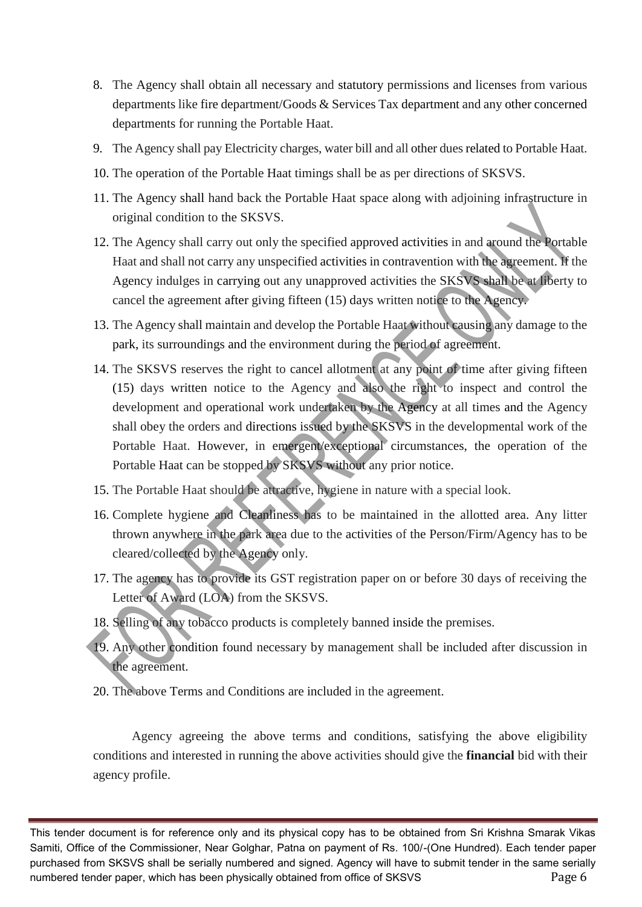- 8. The Agency shall obtain all necessary and statutory permissions and licenses from various departments like fire department/Goods & Services Tax department and any other concerned departments for running the Portable Haat.
- 9. The Agency shall pay Electricity charges, water bill and all other dues related to Portable Haat.
- 10. The operation of the Portable Haat timings shall be as per directions of SKSVS.
- 11. The Agency shall hand back the Portable Haat space along with adjoining infrastructure in original condition to the SKSVS.
- 12. The Agency shall carry out only the specified approved activities in and around the Portable Haat and shall not carry any unspecified activities in contravention with the agreement. If the Agency indulges in carrying out any unapproved activities the SKSVS shall be at liberty to cancel the agreement after giving fifteen (15) days written notice to the Agency.
- 13. The Agency shall maintain and develop the Portable Haat without causing any damage to the park, its surroundings and the environment during the period of agreement.
- 14. The SKSVS reserves the right to cancel allotment at any point of time after giving fifteen (15) days written notice to the Agency and also the right to inspect and control the development and operational work undertaken by the Agency at all times and the Agency shall obey the orders and directions issued by the SKSVS in the developmental work of the Portable Haat. However, in emergent/exceptional circumstances, the operation of the Portable Haat can be stopped by SKSVS without any prior notice.
- 15. The Portable Haat should be attractive, hygiene in nature with a special look.
- 16. Complete hygiene and Cleanliness has to be maintained in the allotted area. Any litter thrown anywhere in the park area due to the activities of the Person/Firm/Agency has to be cleared/collected by the Agency only.
- 17. The agency has to provide its GST registration paper on or before 30 days of receiving the Letter of Award (LOA) from the SKSVS.
- 18. Selling of any tobacco products is completely banned inside the premises.
- 19. Any other condition found necessary by management shall be included after discussion in the agreement.
- 20. The above Terms and Conditions are included in the agreement.

Agency agreeing the above terms and conditions, satisfying the above eligibility conditions and interested in running the above activities should give the **financial** bid with their agency profile.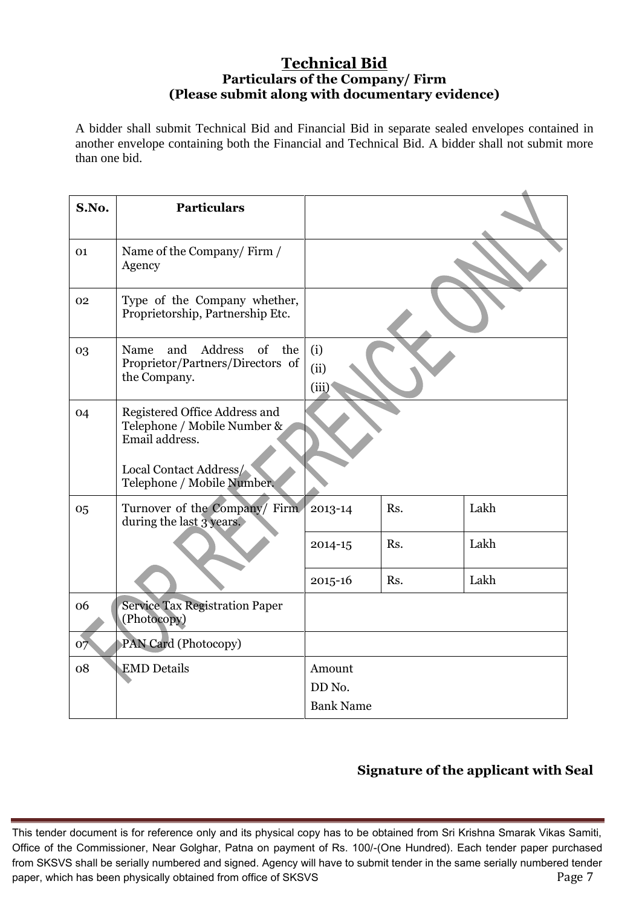#### **Technical Bid Particulars of the Company/ Firm (Please submit along with documentary evidence)**

A bidder shall submit Technical Bid and Financial Bid in separate sealed envelopes contained in another envelope containing both the Financial and Technical Bid. A bidder shall not submit more than one bid.

| S.No. | <b>Particulars</b>                                                                                                                     |                                      |     |      |
|-------|----------------------------------------------------------------------------------------------------------------------------------------|--------------------------------------|-----|------|
| 01    | Name of the Company/Firm /<br>Agency                                                                                                   |                                      |     |      |
| 02    | Type of the Company whether,<br>Proprietorship, Partnership Etc.                                                                       |                                      |     |      |
| 03    | Address<br>of<br>and<br>the<br>Name<br>Proprietor/Partners/Directors of<br>the Company.                                                | (i)<br>(ii)<br>(iii)                 |     |      |
| 04    | Registered Office Address and<br>Telephone / Mobile Number &<br>Email address.<br>Local Contact Address/<br>Telephone / Mobile Number. |                                      |     |      |
| 05    | Turnover of the Company/ Firm<br>during the last 3 years.                                                                              | 2013-14                              | Rs. | Lakh |
|       |                                                                                                                                        | 2014-15                              | Rs. | Lakh |
|       |                                                                                                                                        | 2015-16                              | Rs. | Lakh |
| 06    | <b>Service Tax Registration Paper</b><br>(Photocopy)                                                                                   |                                      |     |      |
| 07    | PAN Card (Photocopy)                                                                                                                   |                                      |     |      |
| 08    | <b>EMD</b> Details                                                                                                                     | Amount<br>DD No.<br><b>Bank Name</b> |     |      |

## **Signature of the applicant with Seal**